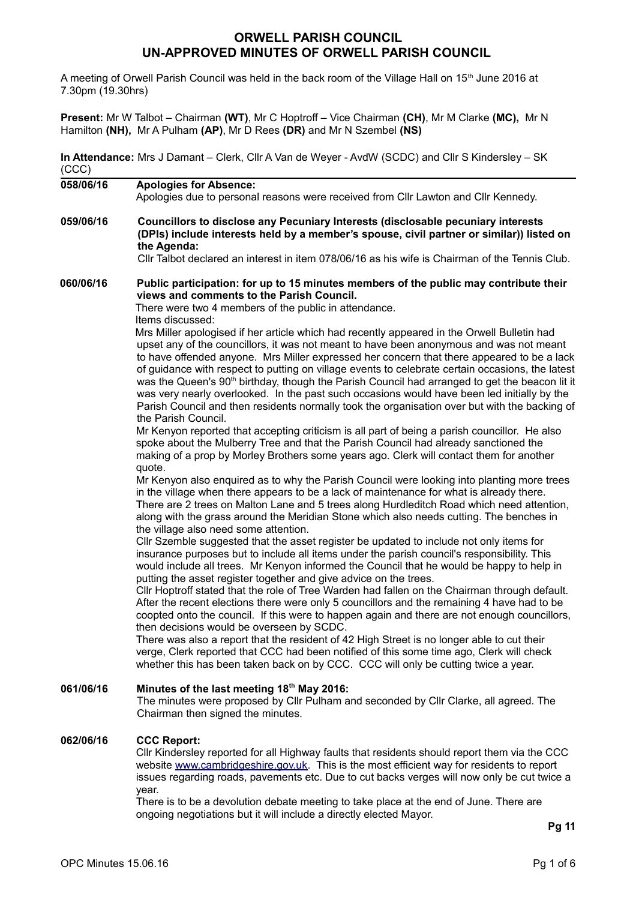# **ORWELL PARISH COUNCIL UN-APPROVED MINUTES OF ORWELL PARISH COUNCIL**

A meeting of Orwell Parish Council was held in the back room of the Village Hall on 15<sup>th</sup> June 2016 at 7.30pm (19.30hrs)

**Present:** Mr W Talbot – Chairman **(WT)**, Mr C Hoptroff – Vice Chairman **(CH)**, Mr M Clarke **(MC),** Mr N Hamilton **(NH),** Mr A Pulham **(AP)**, Mr D Rees **(DR)** and Mr N Szembel **(NS)**

**In Attendance:** Mrs J Damant – Clerk, Cllr A Van de Weyer - AvdW (SCDC) and Cllr S Kindersley – SK (CCC)

| 058/06/16 | <b>Apologies for Absence:</b>                                                                                                                                                                                                                                                                                                                                                                                                                                                                                                                                                                                                                                                                                                 |  |  |  |  |  |
|-----------|-------------------------------------------------------------------------------------------------------------------------------------------------------------------------------------------------------------------------------------------------------------------------------------------------------------------------------------------------------------------------------------------------------------------------------------------------------------------------------------------------------------------------------------------------------------------------------------------------------------------------------------------------------------------------------------------------------------------------------|--|--|--|--|--|
|           | Apologies due to personal reasons were received from Cllr Lawton and Cllr Kennedy.                                                                                                                                                                                                                                                                                                                                                                                                                                                                                                                                                                                                                                            |  |  |  |  |  |
| 059/06/16 | Councillors to disclose any Pecuniary Interests (disclosable pecuniary interests<br>(DPIs) include interests held by a member's spouse, civil partner or similar)) listed on<br>the Agenda:                                                                                                                                                                                                                                                                                                                                                                                                                                                                                                                                   |  |  |  |  |  |
|           | CIIr Talbot declared an interest in item 078/06/16 as his wife is Chairman of the Tennis Club.                                                                                                                                                                                                                                                                                                                                                                                                                                                                                                                                                                                                                                |  |  |  |  |  |
| 060/06/16 | Public participation: for up to 15 minutes members of the public may contribute their<br>views and comments to the Parish Council.<br>There were two 4 members of the public in attendance.<br>Items discussed:                                                                                                                                                                                                                                                                                                                                                                                                                                                                                                               |  |  |  |  |  |
|           | Mrs Miller apologised if her article which had recently appeared in the Orwell Bulletin had<br>upset any of the councillors, it was not meant to have been anonymous and was not meant<br>to have offended anyone. Mrs Miller expressed her concern that there appeared to be a lack<br>of guidance with respect to putting on village events to celebrate certain occasions, the latest<br>was the Queen's 90 <sup>th</sup> birthday, though the Parish Council had arranged to get the beacon lit it<br>was very nearly overlooked. In the past such occasions would have been led initially by the<br>Parish Council and then residents normally took the organisation over but with the backing of<br>the Parish Council. |  |  |  |  |  |
|           | Mr Kenyon reported that accepting criticism is all part of being a parish councillor. He also<br>spoke about the Mulberry Tree and that the Parish Council had already sanctioned the<br>making of a prop by Morley Brothers some years ago. Clerk will contact them for another<br>quote.                                                                                                                                                                                                                                                                                                                                                                                                                                    |  |  |  |  |  |
|           | Mr Kenyon also enquired as to why the Parish Council were looking into planting more trees<br>in the village when there appears to be a lack of maintenance for what is already there.<br>There are 2 trees on Malton Lane and 5 trees along Hurdleditch Road which need attention,<br>along with the grass around the Meridian Stone which also needs cutting. The benches in<br>the village also need some attention.                                                                                                                                                                                                                                                                                                       |  |  |  |  |  |
|           | Cllr Szemble suggested that the asset register be updated to include not only items for<br>insurance purposes but to include all items under the parish council's responsibility. This<br>would include all trees. Mr Kenyon informed the Council that he would be happy to help in<br>putting the asset register together and give advice on the trees.<br>Cllr Hoptroff stated that the role of Tree Warden had fallen on the Chairman through default.<br>After the recent elections there were only 5 councillors and the remaining 4 have had to be<br>coopted onto the council. If this were to happen again and there are not enough councillors,                                                                      |  |  |  |  |  |
|           | then decisions would be overseen by SCDC.<br>There was also a report that the resident of 42 High Street is no longer able to cut their<br>verge, Clerk reported that CCC had been notified of this some time ago, Clerk will check<br>whether this has been taken back on by CCC. CCC will only be cutting twice a year.                                                                                                                                                                                                                                                                                                                                                                                                     |  |  |  |  |  |
| 061/06/16 | Minutes of the last meeting 18th May 2016:<br>The minutes were proposed by Cllr Pulham and seconded by Cllr Clarke, all agreed. The<br>Chairman then signed the minutes.                                                                                                                                                                                                                                                                                                                                                                                                                                                                                                                                                      |  |  |  |  |  |
| 062/06/16 | <b>CCC Report:</b><br>CIIr Kindersley reported for all Highway faults that residents should report them via the CCC<br>website www.cambridgeshire.gov.uk. This is the most efficient way for residents to report<br>issues regarding roads, pavements etc. Due to cut backs verges will now only be cut twice a<br>year.                                                                                                                                                                                                                                                                                                                                                                                                      |  |  |  |  |  |
|           | There is to be a devolution debate meeting to take place at the end of June. There are<br>ongoing negotiations but it will include a directly elected Mayor.                                                                                                                                                                                                                                                                                                                                                                                                                                                                                                                                                                  |  |  |  |  |  |

**Pg 11**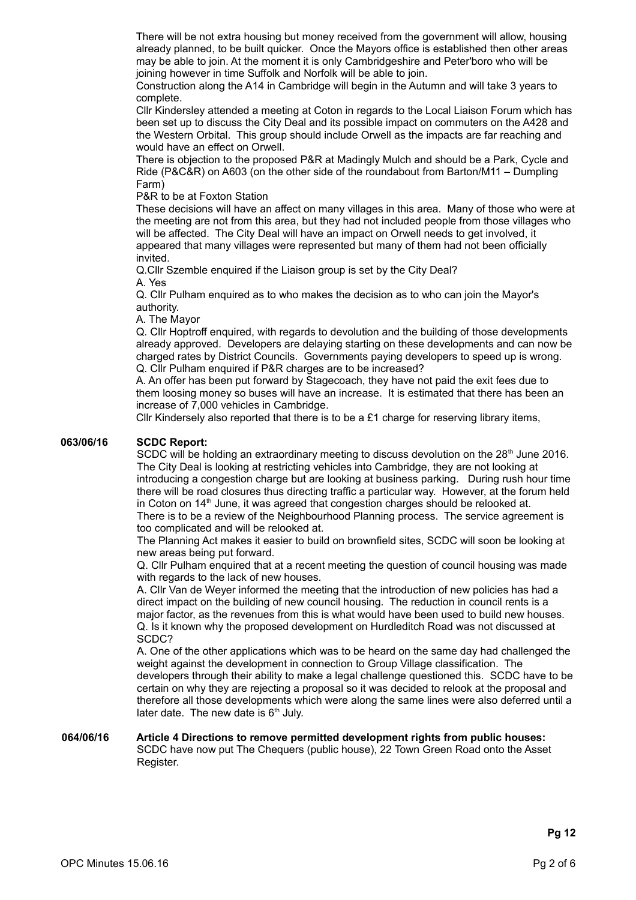There will be not extra housing but money received from the government will allow, housing already planned, to be built quicker. Once the Mayors office is established then other areas may be able to join. At the moment it is only Cambridgeshire and Peter'boro who will be joining however in time Suffolk and Norfolk will be able to join.

Construction along the A14 in Cambridge will begin in the Autumn and will take 3 years to complete.

Cllr Kindersley attended a meeting at Coton in regards to the Local Liaison Forum which has been set up to discuss the City Deal and its possible impact on commuters on the A428 and the Western Orbital. This group should include Orwell as the impacts are far reaching and would have an effect on Orwell.

There is objection to the proposed P&R at Madingly Mulch and should be a Park, Cycle and Ride (P&C&R) on A603 (on the other side of the roundabout from Barton/M11 – Dumpling Farm)

P&R to be at Foxton Station

These decisions will have an affect on many villages in this area. Many of those who were at the meeting are not from this area, but they had not included people from those villages who will be affected. The City Deal will have an impact on Orwell needs to get involved, it appeared that many villages were represented but many of them had not been officially invited.

Q.Cllr Szemble enquired if the Liaison group is set by the City Deal? A. Yes

Q. Cllr Pulham enquired as to who makes the decision as to who can join the Mayor's authority.

A. The Mayor

Q. Cllr Hoptroff enquired, with regards to devolution and the building of those developments already approved. Developers are delaying starting on these developments and can now be charged rates by District Councils. Governments paying developers to speed up is wrong. Q. Cllr Pulham enquired if P&R charges are to be increased?

A. An offer has been put forward by Stagecoach, they have not paid the exit fees due to them loosing money so buses will have an increase. It is estimated that there has been an increase of 7,000 vehicles in Cambridge.

Cllr Kindersely also reported that there is to be a £1 charge for reserving library items,

## **063/06/16 SCDC Report:**

SCDC will be holding an extraordinary meeting to discuss devolution on the  $28<sup>th</sup>$  June 2016. The City Deal is looking at restricting vehicles into Cambridge, they are not looking at introducing a congestion charge but are looking at business parking. During rush hour time there will be road closures thus directing traffic a particular way. However, at the forum held in Coton on  $14<sup>th</sup>$  June, it was agreed that congestion charges should be relooked at. There is to be a review of the Neighbourhood Planning process. The service agreement is

too complicated and will be relooked at. The Planning Act makes it easier to build on brownfield sites, SCDC will soon be looking at new areas being put forward.

Q. Cllr Pulham enquired that at a recent meeting the question of council housing was made with regards to the lack of new houses.

A. Cllr Van de Weyer informed the meeting that the introduction of new policies has had a direct impact on the building of new council housing. The reduction in council rents is a major factor, as the revenues from this is what would have been used to build new houses. Q. Is it known why the proposed development on Hurdleditch Road was not discussed at SCDC?

A. One of the other applications which was to be heard on the same day had challenged the weight against the development in connection to Group Village classification. The developers through their ability to make a legal challenge questioned this. SCDC have to be certain on why they are rejecting a proposal so it was decided to relook at the proposal and therefore all those developments which were along the same lines were also deferred until a later date. The new date is  $6<sup>th</sup>$  July.

#### **064/06/16 Article 4 Directions to remove permitted development rights from public houses:** SCDC have now put The Chequers (public house), 22 Town Green Road onto the Asset Register.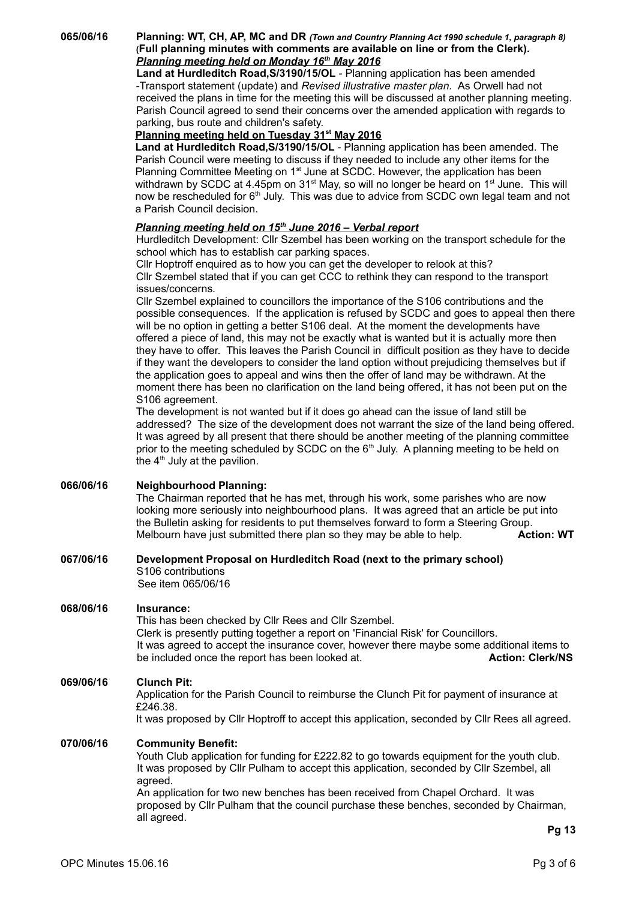### **065/06/16 Planning: WT, CH, AP, MC and DR** *(Town and Country Planning Act 1990 schedule 1, paragraph 8)* **(Full planning minutes with comments are available on line or from the Clerk).**   *Planning meeting held on Monday 16th May 2016*

**Land at Hurdleditch Road,S/3190/15/OL** - Planning application has been amended -Transport statement (update) and *Revised illustrative master plan.* As Orwell had not received the plans in time for the meeting this will be discussed at another planning meeting. Parish Council agreed to send their concerns over the amended application with regards to parking, bus route and children's safety.

## **Planning meeting held on Tuesday 31st May 2016**

**Land at Hurdleditch Road,S/3190/15/OL** - Planning application has been amended. The Parish Council were meeting to discuss if they needed to include any other items for the Planning Committee Meeting on  $1<sup>st</sup>$  June at SCDC. However, the application has been withdrawn by SCDC at 4.45pm on 31<sup>st</sup> May, so will no longer be heard on 1<sup>st</sup> June. This will now be rescheduled for 6<sup>th</sup> July. This was due to advice from SCDC own legal team and not a Parish Council decision.

## *Planning meeting held on 15th June 2016 – Verbal report*

Hurdleditch Development: Cllr Szembel has been working on the transport schedule for the school which has to establish car parking spaces.

Cllr Hoptroff enquired as to how you can get the developer to relook at this? Cllr Szembel stated that if you can get CCC to rethink they can respond to the transport issues/concerns.

Cllr Szembel explained to councillors the importance of the S106 contributions and the possible consequences. If the application is refused by SCDC and goes to appeal then there will be no option in getting a better S106 deal. At the moment the developments have offered a piece of land, this may not be exactly what is wanted but it is actually more then they have to offer. This leaves the Parish Council in difficult position as they have to decide if they want the developers to consider the land option without prejudicing themselves but if the application goes to appeal and wins then the offer of land may be withdrawn. At the moment there has been no clarification on the land being offered, it has not been put on the S106 agreement.

The development is not wanted but if it does go ahead can the issue of land still be addressed? The size of the development does not warrant the size of the land being offered. It was agreed by all present that there should be another meeting of the planning committee prior to the meeting scheduled by SCDC on the  $6<sup>th</sup>$  July. A planning meeting to be held on the  $4<sup>th</sup>$  July at the pavilion.

# **066/06/16 Neighbourhood Planning:**

The Chairman reported that he has met, through his work, some parishes who are now looking more seriously into neighbourhood plans. It was agreed that an article be put into the Bulletin asking for residents to put themselves forward to form a Steering Group. Melbourn have just submitted there plan so they may be able to help. **Action: WT**

#### **067/06/16 Development Proposal on Hurdleditch Road (next to the primary school)** S106 contributions

See item 065/06/16

## **068/06/16 Insurance:**

This has been checked by Cllr Rees and Cllr Szembel. Clerk is presently putting together a report on 'Financial Risk' for Councillors. It was agreed to accept the insurance cover, however there maybe some additional items to be included once the report has been looked at. **Action: Clerk/NS Action: Clerk/NS** 

## **069/06/16 Clunch Pit:**

Application for the Parish Council to reimburse the Clunch Pit for payment of insurance at £246.38.

It was proposed by Cllr Hoptroff to accept this application, seconded by Cllr Rees all agreed.

## **070/06/16 Community Benefit:**

Youth Club application for funding for £222.82 to go towards equipment for the youth club. It was proposed by Cllr Pulham to accept this application, seconded by Cllr Szembel, all agreed

An application for two new benches has been received from Chapel Orchard. It was proposed by Cllr Pulham that the council purchase these benches, seconded by Chairman, all agreed.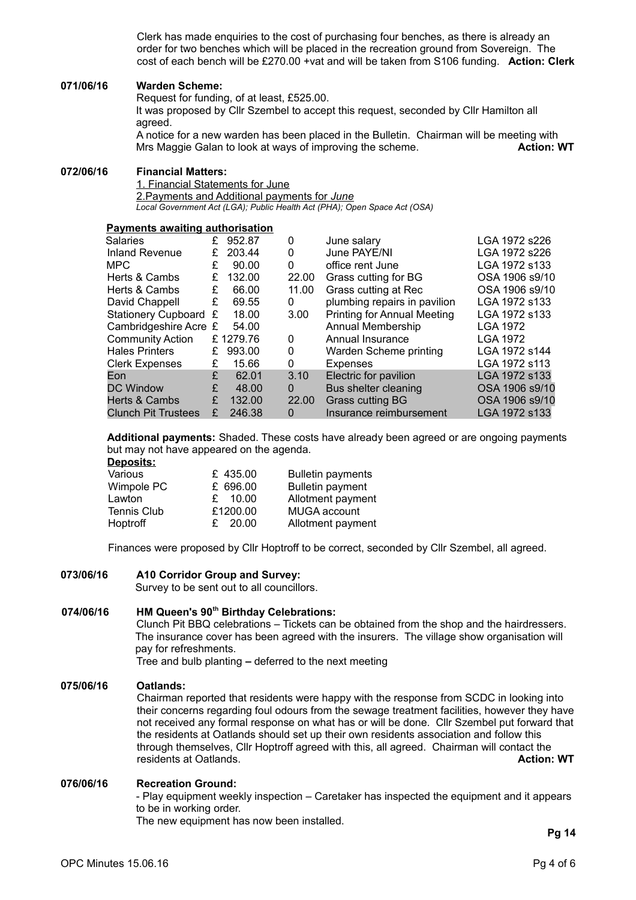Clerk has made enquiries to the cost of purchasing four benches, as there is already an order for two benches which will be placed in the recreation ground from Sovereign. The cost of each bench will be £270.00 +vat and will be taken from S106 funding. **Action: Clerk**

#### **071/06/16 Warden Scheme:**

Request for funding, of at least, £525.00.

It was proposed by Cllr Szembel to accept this request, seconded by Cllr Hamilton all agreed.

A notice for a new warden has been placed in the Bulletin. Chairman will be meeting with Mrs Maggie Galan to look at ways of improving the scheme. **Action: WT**

## **072/06/16 Financial Matters:**

1. Financial Statements for June 2.Payments and Additional payments for *June Local Government Act (LGA); Public Health Act (PHA); Open Space Act (OSA)*

### **Payments awaiting authorisation**

| Salaries                   | £ | 952.87      | 0        | June salary                        | LGA 1972 s226   |
|----------------------------|---|-------------|----------|------------------------------------|-----------------|
| Inland Revenue             |   | 203.44<br>£ | 0        | June PAYE/NI                       | LGA 1972 s226   |
| MPC                        |   | 90.00       | 0        | office rent June                   | LGA 1972 s133   |
| Herts & Cambs              | £ | 132.00      | 22.00    | Grass cutting for BG               | OSA 1906 s9/10  |
| Herts & Cambs              | £ | 66.00       | 11.00    | Grass cutting at Rec               | OSA 1906 s9/10  |
| David Chappell             | £ | 69.55       | 0        | plumbing repairs in pavilion       | LGA 1972 s133   |
| Stationery Cupboard £      |   | 18.00       | 3.00     | <b>Printing for Annual Meeting</b> | LGA 1972 s133   |
| Cambridgeshire Acre £      |   | 54.00       |          | Annual Membership                  | <b>LGA 1972</b> |
| <b>Community Action</b>    |   | £1279.76    | 0        | Annual Insurance                   | <b>LGA 1972</b> |
| <b>Hales Printers</b>      | £ | 993.00      | 0        | Warden Scheme printing             | LGA 1972 s144   |
| <b>Clerk Expenses</b>      | £ | 15.66       | 0        | <b>Expenses</b>                    | LGA 1972 s113   |
| Eon                        | £ | 62.01       | 3.10     | Electric for pavilion              | LGA 1972 s133   |
| <b>DC Window</b>           | £ | 48.00       | 0        | Bus shelter cleaning               | OSA 1906 s9/10  |
| Herts & Cambs              | £ | 132.00      | 22.00    | <b>Grass cutting BG</b>            | OSA 1906 s9/10  |
| <b>Clunch Pit Trustees</b> |   | 246.38      | $\Omega$ | Insurance reimbursement            | LGA 1972 s133   |

**Additional payments:** Shaded. These costs have already been agreed or are ongoing payments but may not have appeared on the agenda. **Deposits:**

| <u>Deposits.</u>   |          |                          |
|--------------------|----------|--------------------------|
| Various            | £435.00  | <b>Bulletin payments</b> |
| Wimpole PC         | £ 696.00 | <b>Bulletin payment</b>  |
| Lawton             | 10.00    | Allotment payment        |
| <b>Tennis Club</b> | £1200.00 | MUGA account             |
| Hoptroff           | 20.00    | Allotment payment        |
|                    |          |                          |

Finances were proposed by Cllr Hoptroff to be correct, seconded by Cllr Szembel, all agreed.

#### **073/06/16 A10 Corridor Group and Survey:**

Survey to be sent out to all councillors.

## **074/06/16 HM Queen's 90th Birthday Celebrations:**

Clunch Pit BBQ celebrations – Tickets can be obtained from the shop and the hairdressers. The insurance cover has been agreed with the insurers. The village show organisation will pay for refreshments.

Tree and bulb planting **–** deferred to the next meeting

### **075/06/16 Oatlands:**

Chairman reported that residents were happy with the response from SCDC in looking into their concerns regarding foul odours from the sewage treatment facilities, however they have not received any formal response on what has or will be done. Cllr Szembel put forward that the residents at Oatlands should set up their own residents association and follow this through themselves, Cllr Hoptroff agreed with this, all agreed. Chairman will contact the residents at Oatlands. **Action: WT**

### **076/06/16 Recreation Ground:**

- Play equipment weekly inspection – Caretaker has inspected the equipment and it appears to be in working order.

The new equipment has now been installed.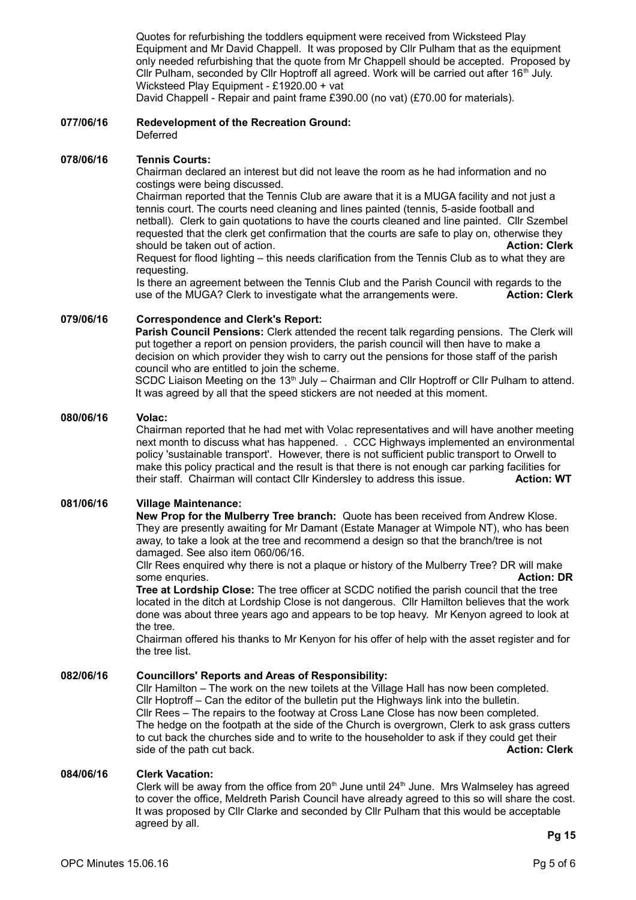Quotes for refurbishing the toddlers equipment were received from Wicksteed Play Equipment and Mr David Chappell. It was proposed by Cllr Pulham that as the equipment only needed refurbishing that the quote from Mr Chappell should be accepted. Proposed by Cllr Pulham, seconded by Cllr Hoptroff all agreed. Work will be carried out after  $16<sup>th</sup>$  July. Wicksteed Play Equipment - £1920.00 + vat

David Chappell - Repair and paint frame £390.00 (no vat) (£70.00 for materials).

**077/06/16 Redevelopment of the Recreation Ground:** Deferred

#### **078/06/16 Tennis Courts:**

Chairman declared an interest but did not leave the room as he had information and no costings were being discussed.

Chairman reported that the Tennis Club are aware that it is a MUGA facility and not just a tennis court. The courts need cleaning and lines painted (tennis, 5-aside football and netball). Clerk to gain quotations to have the courts cleaned and line painted. Cllr Szembel requested that the clerk get confirmation that the courts are safe to play on, otherwise they should be taken out of action. **Action: Clerk** Request for flood lighting – this needs clarification from the Tennis Club as to what they are

requesting.

Is there an agreement between the Tennis Club and the Parish Council with regards to the use of the MUGA? Clerk to investigate what the arrangements were. **Action: Clerk**

#### **079/06/16 Correspondence and Clerk's Report:**

**Parish Council Pensions:** Clerk attended the recent talk regarding pensions. The Clerk will put together a report on pension providers, the parish council will then have to make a decision on which provider they wish to carry out the pensions for those staff of the parish council who are entitled to join the scheme.

SCDC Liaison Meeting on the 13<sup>th</sup> July – Chairman and Cllr Hoptroff or Cllr Pulham to attend. It was agreed by all that the speed stickers are not needed at this moment.

## **080/06/16 Volac:**

Chairman reported that he had met with Volac representatives and will have another meeting next month to discuss what has happened. . CCC Highways implemented an environmental policy 'sustainable transport'. However, there is not sufficient public transport to Orwell to make this policy practical and the result is that there is not enough car parking facilities for their staff. Chairman will contact Cllr Kindersley to address this issue. **Action: WT**

## **081/06/16 Village Maintenance:**

**New Prop for the Mulberry Tree branch:** Quote has been received from Andrew Klose. They are presently awaiting for Mr Damant (Estate Manager at Wimpole NT), who has been away, to take a look at the tree and recommend a design so that the branch/tree is not damaged. See also item 060/06/16.

Cllr Rees enquired why there is not a plaque or history of the Mulberry Tree? DR will make some enquries. **Action: DR**

**Tree at Lordship Close:** The tree officer at SCDC notified the parish council that the tree located in the ditch at Lordship Close is not dangerous. Cllr Hamilton believes that the work done was about three years ago and appears to be top heavy. Mr Kenyon agreed to look at the tree.

Chairman offered his thanks to Mr Kenyon for his offer of help with the asset register and for the tree list.

### **082/06/16 Councillors' Reports and Areas of Responsibility:**

Cllr Hamilton – The work on the new toilets at the Village Hall has now been completed. Cllr Hoptroff – Can the editor of the bulletin put the Highways link into the bulletin. Cllr Rees – The repairs to the footway at Cross Lane Close has now been completed. The hedge on the footpath at the side of the Church is overgrown, Clerk to ask grass cutters to cut back the churches side and to write to the householder to ask if they could get their side of the path cut back. **Action: Clerk Action: Clerk Action: Clerk** 

### **084/06/16 Clerk Vacation:**

Clerk will be away from the office from  $20<sup>th</sup>$  June until  $24<sup>th</sup>$  June. Mrs Walmseley has agreed to cover the office, Meldreth Parish Council have already agreed to this so will share the cost. It was proposed by Cllr Clarke and seconded by Cllr Pulham that this would be acceptable agreed by all.

**Pg 15**